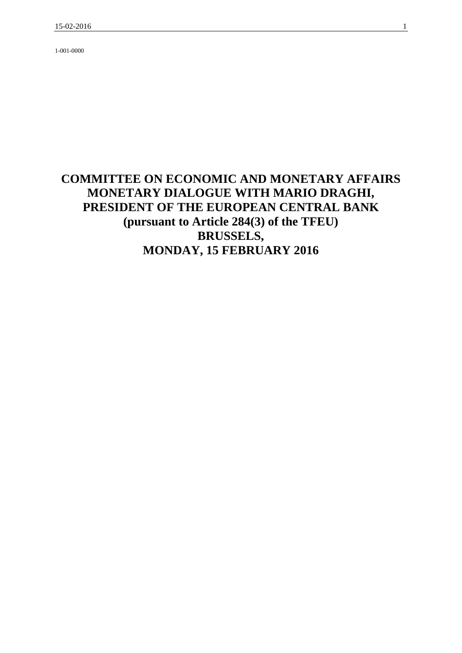1-001-0000

# **COMMITTEE ON ECONOMIC AND MONETARY AFFAIRS MONETARY DIALOGUE WITH MARIO DRAGHI, PRESIDENT OF THE EUROPEAN CENTRAL BANK (pursuant to Article 284(3) of the TFEU) BRUSSELS, MONDAY, 15 FEBRUARY 2016**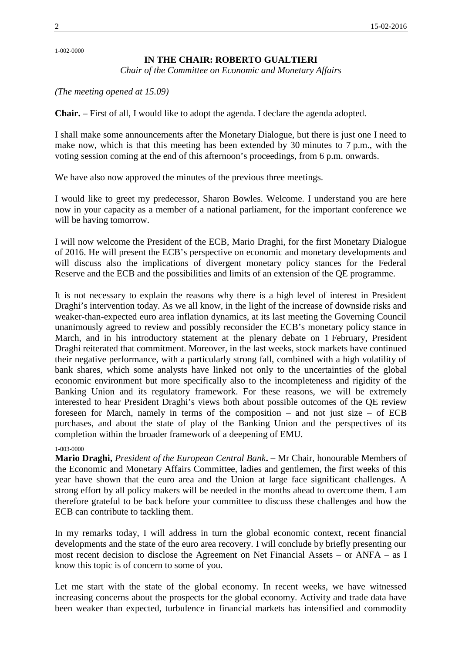1-002-0000

# **IN THE CHAIR: ROBERTO GUALTIERI**

*Chair of the Committee on Economic and Monetary Affairs*

*(The meeting opened at 15.09)*

**Chair.** – First of all, I would like to adopt the agenda. I declare the agenda adopted.

I shall make some announcements after the Monetary Dialogue, but there is just one I need to make now, which is that this meeting has been extended by 30 minutes to 7 p.m., with the voting session coming at the end of this afternoon's proceedings, from 6 p.m. onwards.

We have also now approved the minutes of the previous three meetings.

I would like to greet my predecessor, Sharon Bowles. Welcome. I understand you are here now in your capacity as a member of a national parliament, for the important conference we will be having tomorrow.

I will now welcome the President of the ECB, Mario Draghi, for the first Monetary Dialogue of 2016. He will present the ECB's perspective on economic and monetary developments and will discuss also the implications of divergent monetary policy stances for the Federal Reserve and the ECB and the possibilities and limits of an extension of the QE programme.

It is not necessary to explain the reasons why there is a high level of interest in President Draghi's intervention today. As we all know, in the light of the increase of downside risks and weaker-than-expected euro area inflation dynamics, at its last meeting the Governing Council unanimously agreed to review and possibly reconsider the ECB's monetary policy stance in March, and in his introductory statement at the plenary debate on 1 February, President Draghi reiterated that commitment. Moreover, in the last weeks, stock markets have continued their negative performance, with a particularly strong fall, combined with a high volatility of bank shares, which some analysts have linked not only to the uncertainties of the global economic environment but more specifically also to the incompleteness and rigidity of the Banking Union and its regulatory framework. For these reasons, we will be extremely interested to hear President Draghi's views both about possible outcomes of the QE review foreseen for March, namely in terms of the composition – and not just size – of ECB purchases, and about the state of play of the Banking Union and the perspectives of its completion within the broader framework of a deepening of EMU.

### 1-003-0000

**Mario Draghi,** *President of the European Central Bank***. –** Mr Chair, honourable Members of the Economic and Monetary Affairs Committee, ladies and gentlemen, the first weeks of this year have shown that the euro area and the Union at large face significant challenges. A strong effort by all policy makers will be needed in the months ahead to overcome them. I am therefore grateful to be back before your committee to discuss these challenges and how the ECB can contribute to tackling them.

In my remarks today, I will address in turn the global economic context, recent financial developments and the state of the euro area recovery. I will conclude by briefly presenting our most recent decision to disclose the Agreement on Net Financial Assets – or ANFA – as I know this topic is of concern to some of you.

Let me start with the state of the global economy. In recent weeks, we have witnessed increasing concerns about the prospects for the global economy. Activity and trade data have been weaker than expected, turbulence in financial markets has intensified and commodity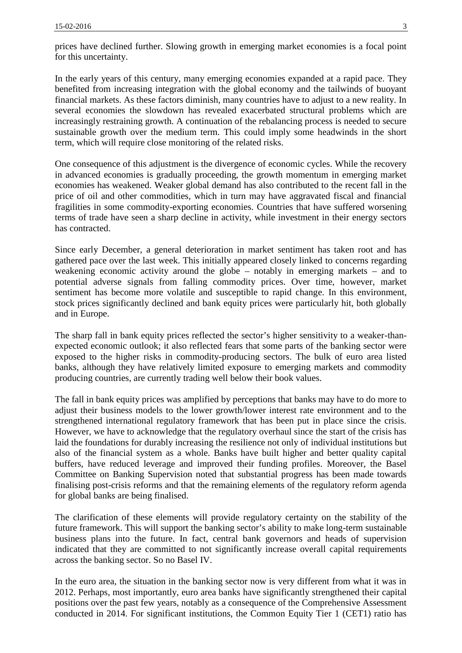prices have declined further. Slowing growth in emerging market economies is a focal point for this uncertainty.

In the early years of this century, many emerging economies expanded at a rapid pace. They benefited from increasing integration with the global economy and the tailwinds of buoyant financial markets. As these factors diminish, many countries have to adjust to a new reality. In several economies the slowdown has revealed exacerbated structural problems which are increasingly restraining growth. A continuation of the rebalancing process is needed to secure sustainable growth over the medium term. This could imply some headwinds in the short term, which will require close monitoring of the related risks.

One consequence of this adjustment is the divergence of economic cycles. While the recovery in advanced economies is gradually proceeding, the growth momentum in emerging market economies has weakened. Weaker global demand has also contributed to the recent fall in the price of oil and other commodities, which in turn may have aggravated fiscal and financial fragilities in some commodity-exporting economies. Countries that have suffered worsening terms of trade have seen a sharp decline in activity, while investment in their energy sectors has contracted.

Since early December, a general deterioration in market sentiment has taken root and has gathered pace over the last week. This initially appeared closely linked to concerns regarding weakening economic activity around the globe – notably in emerging markets – and to potential adverse signals from falling commodity prices. Over time, however, market sentiment has become more volatile and susceptible to rapid change. In this environment, stock prices significantly declined and bank equity prices were particularly hit, both globally and in Europe.

The sharp fall in bank equity prices reflected the sector's higher sensitivity to a weaker-than expected economic outlook; it also reflected fears that some parts of the banking sector were exposed to the higher risks in commodity-producing sectors. The bulk of euro area listed banks, although they have relatively limited exposure to emerging markets and commodity producing countries, are currently trading well below their book values.

The fall in bank equity prices was amplified by perceptions that banks may have to do more to adjust their business models to the lower growth/lower interest rate environment and to the strengthened international regulatory framework that has been put in place since the crisis. However, we have to acknowledge that the regulatory overhaul since the start of the crisis has laid the foundations for durably increasing the resilience not only of individual institutions but also of the financial system as a whole. Banks have built higher and better quality capital buffers, have reduced leverage and improved their funding profiles. Moreover, the Basel Committee on Banking Supervision noted that substantial progress has been made towards finalising post-crisis reforms and that the remaining elements of the regulatory reform agenda for global banks are being finalised.

The clarification of these elements will provide regulatory certainty on the stability of the future framework. This will support the banking sector's ability to make long-term sustainable business plans into the future. In fact, central bank governors and heads of supervision indicated that they are committed to not significantly increase overall capital requirements across the banking sector. So no Basel IV.

In the euro area, the situation in the banking sector now is very different from what it was in 2012. Perhaps, most importantly, euro area banks have significantly strengthened their capital positions over the past few years, notably as a consequence of the Comprehensive Assessment conducted in 2014. For significant institutions, the Common Equity Tier 1 (CET1) ratio has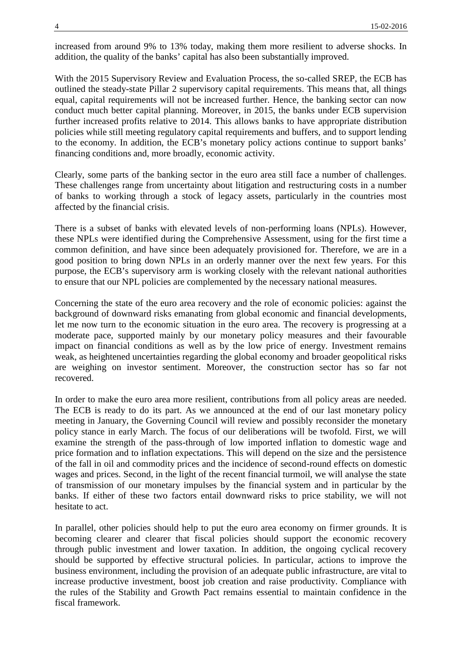increased from around 9% to 13% today, making them more resilient to adverse shocks. In addition, the quality of the banks' capital has also been substantially improved.

With the 2015 Supervisory Review and Evaluation Process, the so-called SREP, the ECB has outlined the steady-state Pillar 2 supervisory capital requirements. This means that, all things equal, capital requirements will not be increased further. Hence, the banking sector can now conduct much better capital planning. Moreover, in 2015, the banks under ECB supervision further increased profits relative to 2014. This allows banks to have appropriate distribution policies while still meeting regulatory capital requirements and buffers, and to support lending to the economy. In addition, the ECB's monetary policy actions continue to support banks' financing conditions and, more broadly, economic activity.

Clearly, some parts of the banking sector in the euro area still face a number of challenges. These challenges range from uncertainty about litigation and restructuring costs in a number of banks to working through a stock of legacy assets, particularly in the countries most affected by the financial crisis.

There is a subset of banks with elevated levels of non-performing loans (NPLs). However, these NPLs were identified during the Comprehensive Assessment, using for the first time a common definition, and have since been adequately provisioned for. Therefore, we are in a good position to bring down NPLs in an orderly manner over the next few years. For this purpose, the ECB's supervisory arm is working closely with the relevant national authorities to ensure that our NPL policies are complemented by the necessary national measures.

Concerning the state of the euro area recovery and the role of economic policies: against the background of downward risks emanating from global economic and financial developments, let me now turn to the economic situation in the euro area. The recovery is progressing at a moderate pace, supported mainly by our monetary policy measures and their favourable impact on financial conditions as well as by the low price of energy. Investment remains weak, as heightened uncertainties regarding the global economy and broader geopolitical risks are weighing on investor sentiment. Moreover, the construction sector has so far not recovered.

In order to make the euro area more resilient, contributions from all policy areas are needed. The ECB is ready to do its part. As we announced at the end of our last monetary policy meeting in January, the Governing Council will review and possibly reconsider the monetary policy stance in early March. The focus of our deliberations will be twofold. First, we will examine the strength of the pass-through of low imported inflation to domestic wage and price formation and to inflation expectations. This will depend on the size and the persistence of the fall in oil and commodity prices and the incidence of second-round effects on domestic wages and prices. Second, in the light of the recent financial turmoil, we will analyse the state of transmission of our monetary impulses by the financial system and in particular by the banks. If either of these two factors entail downward risks to price stability, we will not hesitate to act.

In parallel, other policies should help to put the euro area economy on firmer grounds. It is becoming clearer and clearer that fiscal policies should support the economic recovery through public investment and lower taxation. In addition, the ongoing cyclical recovery should be supported by effective structural policies. In particular, actions to improve the business environment, including the provision of an adequate public infrastructure, are vital to increase productive investment, boost job creation and raise productivity. Compliance with the rules of the Stability and Growth Pact remains essential to maintain confidence in the fiscal framework.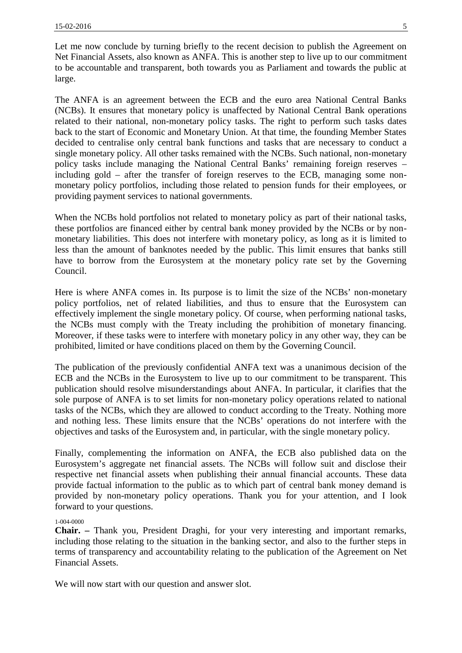Let me now conclude by turning briefly to the recent decision to publish the Agreement on Net Financial Assets, also known as ANFA. This is another step to live up to our commitment to be accountable and transparent, both towards you as Parliament and towards the public at large.

The ANFA is an agreement between the ECB and the euro area National Central Banks (NCBs). It ensures that monetary policy is unaffected by National Central Bank operations related to their national, non-monetary policy tasks. The right to perform such tasks dates back to the start of Economic and Monetary Union. At that time, the founding Member States decided to centralise only central bank functions and tasks that are necessary to conduct a single monetary policy. All other tasks remained with the NCBs. Such national, non-monetary policy tasks include managing the National Central Banks' remaining foreign reserves – including gold – after the transfer of foreign reserves to the ECB, managing some non monetary policy portfolios, including those related to pension funds for their employees, or providing payment services to national governments.

When the NCBs hold portfolios not related to monetary policy as part of their national tasks, these portfolios are financed either by central bank money provided by the NCBs or by non monetary liabilities. This does not interfere with monetary policy, as long as it is limited to less than the amount of banknotes needed by the public. This limit ensures that banks still have to borrow from the Eurosystem at the monetary policy rate set by the Governing Council.

Here is where ANFA comes in. Its purpose is to limit the size of the NCBs' non-monetary policy portfolios, net of related liabilities, and thus to ensure that the Eurosystem can effectively implement the single monetary policy. Of course, when performing national tasks, the NCBs must comply with the Treaty including the prohibition of monetary financing. Moreover, if these tasks were to interfere with monetary policy in any other way, they can be prohibited, limited or have conditions placed on them by the Governing Council.

The publication of the previously confidential ANFA text was a unanimous decision of the ECB and the NCBs in the Eurosystem to live up to our commitment to be transparent. This publication should resolve misunderstandings about ANFA. In particular, it clarifies that the sole purpose of ANFA is to set limits for non-monetary policy operations related to national tasks of the NCBs, which they are allowed to conduct according to the Treaty. Nothing more and nothing less. These limits ensure that the NCBs' operations do not interfere with the objectives and tasks of the Eurosystem and, in particular, with the single monetary policy.

Finally, complementing the information on ANFA, the ECB also published data on the Eurosystem's aggregate net financial assets. The NCBs will follow suit and disclose their respective net financial assets when publishing their annual financial accounts. These data provide factual information to the public as to which part of central bank money demand is provided by non-monetary policy operations. Thank you for your attention, and I look forward to your questions.

# 1-004-0000

**Chair. –** Thank you, President Draghi, for your very interesting and important remarks, including those relating to the situation in the banking sector, and also to the further steps in terms of transparency and accountability relating to the publication of the Agreement on Net Financial Assets.

We will now start with our question and answer slot.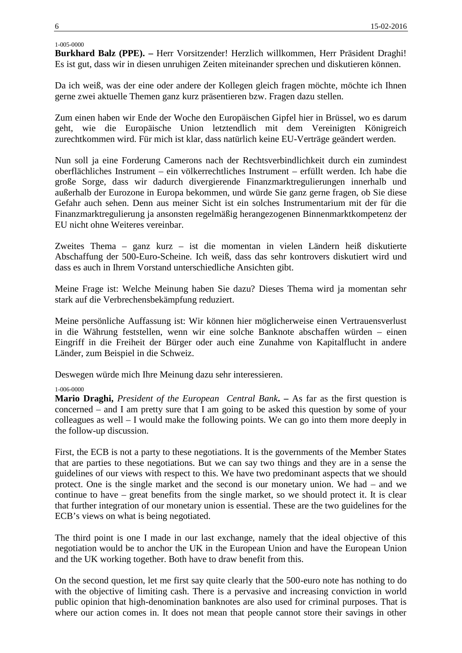# 1-005-0000

**Burkhard Balz (PPE). –** Herr Vorsitzender! Herzlich willkommen, Herr Präsident Draghi! Es ist gut, dass wir in diesen unruhigen Zeiten miteinander sprechen und diskutieren können.

Da ich weiß, was der eine oder andere der Kollegen gleich fragen möchte, möchte ich Ihnen gerne zwei aktuelle Themen ganz kurz präsentieren bzw. Fragen dazu stellen.

Zum einen haben wir Ende der Woche den Europäischen Gipfel hier in Brüssel, wo es darum geht, wie die Europäische Union letztendlich mit dem Vereinigten Königreich zurechtkommen wird. Für mich ist klar, dass natürlich keine EU-Verträge geändert werden.

Nun soll ja eine Forderung Camerons nach der Rechtsverbindlichkeit durch ein zumindest oberflächliches Instrument – ein völkerrechtliches Instrument – erfüllt werden. Ich habe die große Sorge, dass wir dadurch divergierende Finanzmarktregulierungen innerhalb und außerhalb der Eurozone in Europa bekommen, und würde Sie ganz gerne fragen, ob Sie diese Gefahr auch sehen. Denn aus meiner Sicht ist ein solches Instrumentarium mit der für die Finanzmarktregulierung ja ansonsten regelmäßig herangezogenen Binnenmarktkompetenz der EU nicht ohne Weiteres vereinbar.

Zweites Thema – ganz kurz – ist die momentan in vielen Ländern heiß diskutierte Abschaffung der 500-Euro-Scheine. Ich weiß, dass das sehr kontrovers diskutiert wird und dass es auch in Ihrem Vorstand unterschiedliche Ansichten gibt.

Meine Frage ist: Welche Meinung haben Sie dazu? Dieses Thema wird ja momentan sehr stark auf die Verbrechensbekämpfung reduziert.

Meine persönliche Auffassung ist: Wir können hier möglicherweise einen Vertrauensverlust in die Währung feststellen, wenn wir eine solche Banknote abschaffen würden – einen Eingriff in die Freiheit der Bürger oder auch eine Zunahme von Kapitalflucht in andere Länder, zum Beispiel in die Schweiz.

Deswegen würde mich Ihre Meinung dazu sehr interessieren.

# 1-006-0000

**Mario Draghi,** *President of the European Central Bank***. –** As far as the first question is concerned – and I am pretty sure that I am going to be asked this question by some of your colleagues as well – I would make the following points. We can go into them more deeply in the follow-up discussion.

First, the ECB is not a party to these negotiations. It is the governments of the Member States that are parties to these negotiations. But we can say two things and they are in a sense the guidelines of our views with respect to this. We have two predominant aspects that we should protect. One is the single market and the second is our monetary union. We had – and we continue to have – great benefits from the single market, so we should protect it. It is clear that further integration of our monetary union is essential. These are the two guidelines for the ECB's views on what is being negotiated.

The third point is one I made in our last exchange, namely that the ideal objective of this negotiation would be to anchor the UK in the European Union and have the European Union and the UK working together. Both have to draw benefit from this.

On the second question, let me first say quite clearly that the 500-euro note has nothing to do with the objective of limiting cash. There is a pervasive and increasing conviction in world public opinion that high-denomination banknotes are also used for criminal purposes. That is where our action comes in. It does not mean that people cannot store their savings in other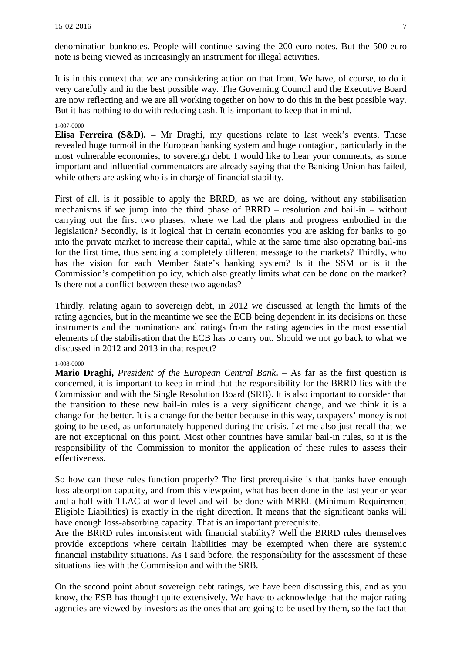denomination banknotes. People will continue saving the 200-euro notes. But the 500-euro note is being viewed as increasingly an instrument for illegal activities.

It is in this context that we are considering action on that front. We have, of course, to do it very carefully and in the best possible way. The Governing Council and the Executive Board are now reflecting and we are all working together on how to do this in the best possible way. But it has nothing to do with reducing cash. It is important to keep that in mind.

#### 1-007-0000

**Elisa Ferreira (S&D). –** Mr Draghi, my questions relate to last week's events. These revealed huge turmoil in the European banking system and huge contagion, particularly in the most vulnerable economies, to sovereign debt. I would like to hear your comments, as some important and influential commentators are already saying that the Banking Union has failed, while others are asking who is in charge of financial stability.

First of all, is it possible to apply the BRRD, as we are doing, without any stabilisation mechanisms if we jump into the third phase of BRRD – resolution and bail-in – without carrying out the first two phases, where we had the plans and progress embodied in the legislation? Secondly, is it logical that in certain economies you are asking for banks to go into the private market to increase their capital, while at the same time also operating bail-ins for the first time, thus sending a completely different message to the markets? Thirdly, who has the vision for each Member State's banking system? Is it the SSM or is it the Commission's competition policy, which also greatly limits what can be done on the market? Is there not a conflict between these two agendas?

Thirdly, relating again to sovereign debt, in 2012 we discussed at length the limits of the rating agencies, but in the meantime we see the ECB being dependent in its decisions on these instruments and the nominations and ratings from the rating agencies in the most essential elements of the stabilisation that the ECB has to carry out. Should we not go back to what we discussed in 2012 and 2013 in that respect?

#### 1-008-0000

**Mario Draghi,** *President of the European Central Bank***. –** As far as the first question is concerned, it is important to keep in mind that the responsibility for the BRRD lies with the Commission and with the Single Resolution Board (SRB). It is also important to consider that the transition to these new bail-in rules is a very significant change, and we think it is a change for the better. It is a change for the better because in this way, taxpayers' money is not going to be used, as unfortunately happened during the crisis. Let me also just recall that we are not exceptional on this point. Most other countries have similar bail-in rules, so it is the responsibility of the Commission to monitor the application of these rules to assess their effectiveness.

So how can these rules function properly? The first prerequisite is that banks have enough loss-absorption capacity, and from this viewpoint, what has been done in the last year or year and a half with TLAC at world level and will be done with MREL (Minimum Requirement Eligible Liabilities) is exactly in the right direction. It means that the significant banks will have enough loss-absorbing capacity. That is an important prerequisite.

Are the BRRD rules inconsistent with financial stability? Well the BRRD rules themselves provide exceptions where certain liabilities may be exempted when there are systemic financial instability situations. As I said before, the responsibility for the assessment of these situations lies with the Commission and with the SRB.

On the second point about sovereign debt ratings, we have been discussing this, and as you know, the ESB has thought quite extensively. We have to acknowledge that the major rating agencies are viewed by investors as the ones that are going to be used by them, so the fact that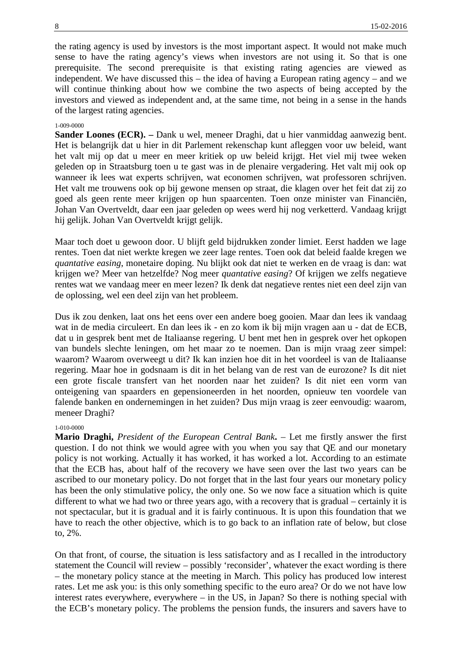the rating agency is used by investors is the most important aspect. It would not make much sense to have the rating agency's views when investors are not using it. So that is one prerequisite. The second prerequisite is that existing rating agencies are viewed as independent. We have discussed this – the idea of having a European rating agency – and we will continue thinking about how we combine the two aspects of being accepted by the investors and viewed as independent and, at the same time, not being in a sense in the hands of the largest rating agencies.

### 1-009-0000

**Sander Loones (ECR). –** Dank u wel, meneer Draghi, dat u hier vanmiddag aanwezig bent. Het is belangrijk dat u hier in dit Parlement rekenschap kunt afleggen voor uw beleid, want het valt mij op dat u meer en meer kritiek op uw beleid krijgt. Het viel mij twee weken geleden op in Straatsburg toen u te gast was in de plenaire vergadering. Het valt mij ook op wanneer ik lees wat experts schrijven, wat economen schrijven, wat professoren schrijven. Het valt me trouwens ook op bij gewone mensen op straat, die klagen over het feit dat zij zo goed als geen rente meer krijgen op hun spaarcenten. Toen onze minister van Financiën, Johan Van Overtveldt, daar een jaar geleden op wees werd hij nog verketterd. Vandaag krijgt hij gelijk. Johan Van Overtveldt krijgt gelijk.

Maar toch doet u gewoon door. U blijft geld bijdrukken zonder limiet. Eerst hadden we lage rentes. Toen dat niet werkte kregen we zeer lage rentes. Toen ook dat beleid faalde kregen we *quantative easing*, monetaire doping. Nu blijkt ook dat niet te werken en de vraag is dan: wat krijgen we? Meer van hetzelfde? Nog meer *quantative easing*? Of krijgen we zelfs negatieve rentes wat we vandaag meer en meer lezen? Ik denk dat negatieve rentes niet een deel zijn van de oplossing, wel een deel zijn van het probleem.

Dus ik zou denken, laat ons het eens over een andere boeg gooien. Maar dan lees ik vandaag wat in de media circuleert. En dan lees ik - en zo kom ik bij mijn vragen aan u - dat de ECB, dat u in gesprek bent met de Italiaanse regering. U bent met hen in gesprek over het opkopen van bundels slechte leningen, om het maar zo te noemen. Dan is mijn vraag zeer simpel: waarom? Waarom overweegt u dit? Ik kan inzien hoe dit in het voordeel is van de Italiaanse regering. Maar hoe in godsnaam is dit in het belang van de rest van de eurozone? Is dit niet een grote fiscale transfert van het noorden naar het zuiden? Is dit niet een vorm van onteigening van spaarders en gepensioneerden in het noorden, opnieuw ten voordele van falende banken en ondernemingen in het zuiden? Dus mijn vraag is zeer eenvoudig: waarom, meneer Draghi?

#### 1-010-0000

**Mario Draghi,** *President of the European Central Bank***.** – Let me firstly answer the first question. I do not think we would agree with you when you say that QE and our monetary policy is not working. Actually it has worked, it has worked a lot. According to an estimate that the ECB has, about half of the recovery we have seen over the last two years can be ascribed to our monetary policy. Do not forget that in the last four years our monetary policy has been the only stimulative policy, the only one. So we now face a situation which is quite different to what we had two or three years ago, with a recovery that is gradual – certainly it is not spectacular, but it is gradual and it is fairly continuous. It is upon this foundation that we have to reach the other objective, which is to go back to an inflation rate of below, but close to, 2%.

On that front, of course, the situation is less satisfactory and as I recalled in the introductory statement the Council will review – possibly 'reconsider', whatever the exact wording is there – the monetary policy stance at the meeting in March. This policy has produced low interest rates. Let me ask you: is this only something specific to the euro area? Or do we not have low interest rates everywhere, everywhere – in the US, in Japan? So there is nothing special with the ECB's monetary policy. The problems the pension funds, the insurers and savers have to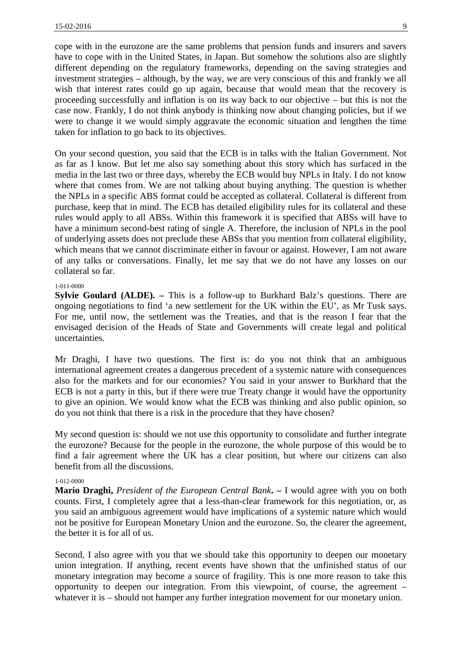cope with in the eurozone are the same problems that pension funds and insurers and savers have to cope with in the United States, in Japan. But somehow the solutions also are slightly different depending on the regulatory frameworks, depending on the saving strategies and investment strategies – although, by the way, we are very conscious of this and frankly we all wish that interest rates could go up again, because that would mean that the recovery is proceeding successfully and inflation is on its way back to our objective – but this is not the case now. Frankly, I do not think anybody is thinking now about changing policies, but if we were to change it we would simply aggravate the economic situation and lengthen the time taken for inflation to go back to its objectives.

On your second question, you said that the ECB is in talks with the Italian Government. Not as far as I know. But let me also say something about this story which has surfaced in the media in the last two or three days, whereby the ECB would buy NPLs in Italy. I do not know where that comes from. We are not talking about buying anything. The question is whether the NPLs in a specific ABS format could be accepted as collateral. Collateral is different from purchase, keep that in mind. The ECB has detailed eligibility rules for its collateral and these rules would apply to all ABSs. Within this framework it is specified that ABSs will have to have a minimum second-best rating of single A. Therefore, the inclusion of NPLs in the pool of underlying assets does not preclude these ABSs that you mention from collateral eligibility, which means that we cannot discriminate either in favour or against. However, I am not aware of any talks or conversations. Finally, let me say that we do not have any losses on our collateral so far.

### 1-011-0000

**Sylvie Goulard (ALDE). –** This is a follow-up to Burkhard Balz's questions. There are ongoing negotiations to find 'a new settlement for the UK within the EU', as Mr Tusk says. For me, until now, the settlement was the Treaties, and that is the reason I fear that the envisaged decision of the Heads of State and Governments will create legal and political uncertainties.

Mr Draghi, I have two questions. The first is: do you not think that an ambiguous international agreement creates a dangerous precedent of a systemic nature with consequences also for the markets and for our economies? You said in your answer to Burkhard that the ECB is not a party in this, but if there were true Treaty change it would have the opportunity to give an opinion. We would know what the ECB was thinking and also public opinion, so do you not think that there is a risk in the procedure that they have chosen?

My second question is: should we not use this opportunity to consolidate and further integrate the eurozone? Because for the people in the eurozone, the whole purpose of this would be to find a fair agreement where the UK has a clear position, but where our citizens can also benefit from all the discussions.

#### 1-012-0000

**Mario Draghi,** *President of the European Central Bank***. –** I would agree with you on both counts. First, I completely agree that a less-than-clear framework for this negotiation, or, as you said an ambiguous agreement would have implications of a systemic nature which would not be positive for European Monetary Union and the eurozone. So, the clearer the agreement, the better it is for all of us.

Second, I also agree with you that we should take this opportunity to deepen our monetary union integration. If anything, recent events have shown that the unfinished status of our monetary integration may become a source of fragility. This is one more reason to take this opportunity to deepen our integration. From this viewpoint, of course, the agreement – whatever it is – should not hamper any further integration movement for our monetary union.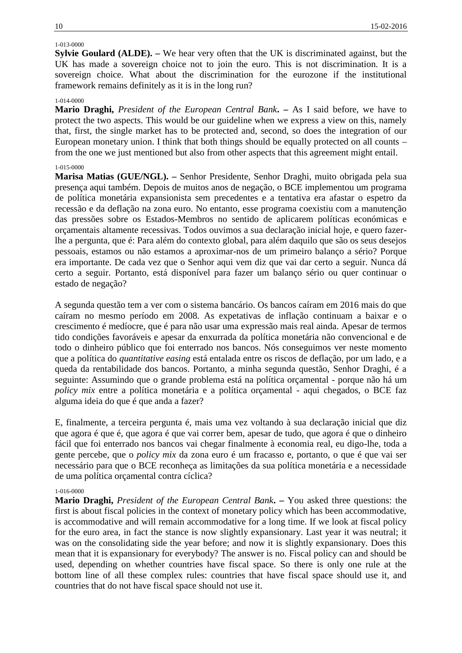# 1-013-0000

**Sylvie Goulard (ALDE). –** We hear very often that the UK is discriminated against, but the UK has made a sovereign choice not to join the euro. This is not discrimination. It is a sovereign choice. What about the discrimination for the eurozone if the institutional framework remains definitely as it is in the long run?

# 1-014-0000

**Mario Draghi,** *President of the European Central Bank***. –** As I said before, we have to protect the two aspects. This would be our guideline when we express a view on this, namely that, first, the single market has to be protected and, second, so does the integration of our European monetary union. I think that both things should be equally protected on all counts – from the one we just mentioned but also from other aspects that this agreement might entail.

# 1-015-0000

**Marisa Matias (GUE/NGL). –** Senhor Presidente, Senhor Draghi, muito obrigada pela sua presença aqui também. Depois de muitos anos de negação, o BCE implementou um programa de política monetária expansionista sem precedentes e a tentativa era afastar o espetro da recessão e da deflação na zona euro. No entanto, esse programa coexistiu com a manutenção das pressões sobre os Estados-Membros no sentido de aplicarem políticas económicas e orçamentais altamente recessivas. Todos ouvimos a sua declaração inicial hoje, e quero fazerlhe a pergunta, que é: Para além do contexto global, para além daquilo que são os seus desejos pessoais, estamos ou não estamos a aproximar-nos de um primeiro balanço a sério? Porque era importante. De cada vez que o Senhor aqui vem diz que vai dar certo a seguir. Nunca dá certo a seguir. Portanto, está disponível para fazer um balanço sério ou quer continuar o estado de negação?

A segunda questão tem a ver com o sistema bancário. Os bancos caíram em 2016 mais do que caíram no mesmo período em 2008. As expetativas de inflação continuam a baixar e o crescimento é medíocre, que é para não usar uma expressão mais real ainda. Apesar de termos tido condições favoráveis e apesar da enxurrada da política monetária não convencional e de todo o dinheiro público que foi enterrado nos bancos. Nós conseguimos ver neste momento que a política do *quantitative easing* está entalada entre os riscos de deflação, por um lado, e a queda da rentabilidade dos bancos. Portanto, a minha segunda questão, Senhor Draghi, é a seguinte: Assumindo que o grande problema está na política orçamental - porque não há um *policy mix* entre a política monetária e a política orçamental - aqui chegados, o BCE faz alguma ideia do que é que anda a fazer?

E, finalmente, a terceira pergunta é, mais uma vez voltando à sua declaração inicial que diz que agora é que é, que agora é que vai correr bem, apesar de tudo, que agora é que o dinheiro fácil que foi enterrado nos bancos vai chegar finalmente à economia real, eu digo-lhe, toda a gente percebe, que o *policy mix* da zona euro é um fracasso e, portanto, o que é que vai ser necessário para que o BCE reconheça as limitações da sua política monetária e a necessidade de uma política orçamental contra cíclica?

# 1-016-0000

**Mario Draghi,** *President of the European Central Bank***. –** You asked three questions: the first is about fiscal policies in the context of monetary policy which has been accommodative, is accommodative and will remain accommodative for a long time. If we look at fiscal policy for the euro area, in fact the stance is now slightly expansionary. Last year it was neutral; it was on the consolidating side the year before; and now it is slightly expansionary. Does this mean that it is expansionary for everybody? The answer is no. Fiscal policy can and should be used, depending on whether countries have fiscal space. So there is only one rule at the bottom line of all these complex rules: countries that have fiscal space should use it, and countries that do not have fiscal space should not use it.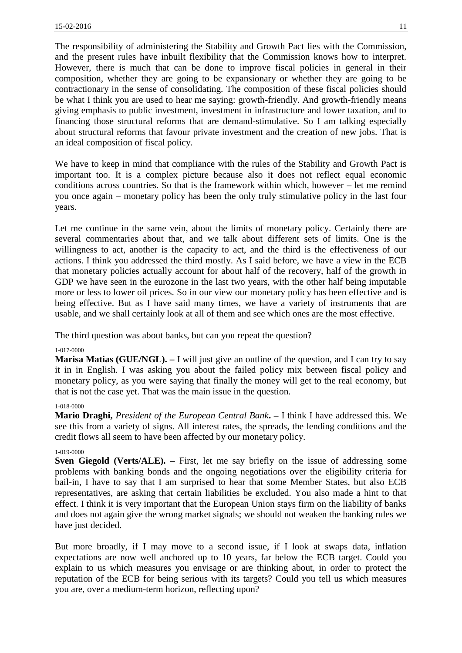The responsibility of administering the Stability and Growth Pact lies with the Commission, and the present rules have inbuilt flexibility that the Commission knows how to interpret. However, there is much that can be done to improve fiscal policies in general in their composition, whether they are going to be expansionary or whether they are going to be contractionary in the sense of consolidating. The composition of these fiscal policies should be what I think you are used to hear me saying: growth-friendly. And growth-friendly means giving emphasis to public investment, investment in infrastructure and lower taxation, and to financing those structural reforms that are demand-stimulative. So I am talking especially about structural reforms that favour private investment and the creation of new jobs. That is an ideal composition of fiscal policy.

We have to keep in mind that compliance with the rules of the Stability and Growth Pact is important too. It is a complex picture because also it does not reflect equal economic conditions across countries. So that is the framework within which, however – let me remind you once again – monetary policy has been the only truly stimulative policy in the last four years.

Let me continue in the same vein, about the limits of monetary policy. Certainly there are several commentaries about that, and we talk about different sets of limits. One is the willingness to act, another is the capacity to act, and the third is the effectiveness of our actions. I think you addressed the third mostly. As I said before, we have a view in the ECB that monetary policies actually account for about half of the recovery, half of the growth in GDP we have seen in the eurozone in the last two years, with the other half being imputable more or less to lower oil prices. So in our view our monetary policy has been effective and is being effective. But as I have said many times, we have a variety of instruments that are usable, and we shall certainly look at all of them and see which ones are the most effective.

The third question was about banks, but can you repeat the question?

# 1-017-0000

**Marisa Matias (GUE/NGL). –** I will just give an outline of the question, and I can try to say it in in English. I was asking you about the failed policy mix between fiscal policy and monetary policy, as you were saying that finally the money will get to the real economy, but that is not the case yet. That was the main issue in the question.

### 1-018-0000

**Mario Draghi,** *President of the European Central Bank***. –** I think I have addressed this. We see this from a variety of signs. All interest rates, the spreads, the lending conditions and the credit flows all seem to have been affected by our monetary policy.

### 1-019-0000

**Sven Giegold (Verts/ALE).** – First, let me say briefly on the issue of addressing some problems with banking bonds and the ongoing negotiations over the eligibility criteria for bail-in, I have to say that I am surprised to hear that some Member States, but also ECB representatives, are asking that certain liabilities be excluded. You also made a hint to that effect. I think it is very important that the European Union stays firm on the liability of banks and does not again give the wrong market signals; we should not weaken the banking rules we have just decided.

But more broadly, if I may move to a second issue, if I look at swaps data, inflation expectations are now well anchored up to 10 years, far below the ECB target. Could you explain to us which measures you envisage or are thinking about, in order to protect the reputation of the ECB for being serious with its targets? Could you tell us which measures you are, over a medium-term horizon, reflecting upon?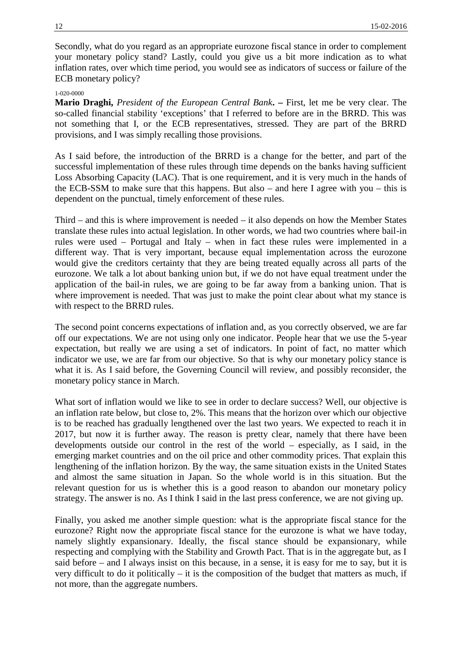Secondly, what do you regard as an appropriate eurozone fiscal stance in order to complement your monetary policy stand? Lastly, could you give us a bit more indication as to what inflation rates, over which time period, you would see as indicators of success or failure of the ECB monetary policy?

### 1-020-0000

**Mario Draghi,** *President of the European Central Bank***. –** First, let me be very clear. The so-called financial stability 'exceptions' that I referred to before are in the BRRD. This was not something that I, or the ECB representatives, stressed. They are part of the BRRD provisions, and I was simply recalling those provisions.

As I said before, the introduction of the BRRD is a change for the better, and part of the successful implementation of these rules through time depends on the banks having sufficient Loss Absorbing Capacity (LAC). That is one requirement, and it is very much in the hands of the ECB-SSM to make sure that this happens. But also – and here I agree with you – this is dependent on the punctual, timely enforcement of these rules.

Third – and this is where improvement is needed – it also depends on how the Member States translate these rules into actual legislation. In other words, we had two countries where bail-in rules were used – Portugal and Italy – when in fact these rules were implemented in a different way. That is very important, because equal implementation across the eurozone would give the creditors certainty that they are being treated equally across all parts of the eurozone. We talk a lot about banking union but, if we do not have equal treatment under the application of the bail-in rules, we are going to be far away from a banking union. That is where improvement is needed. That was just to make the point clear about what my stance is with respect to the BRRD rules.

The second point concerns expectations of inflation and, as you correctly observed, we are far off our expectations. We are not using only one indicator. People hear that we use the 5-year expectation, but really we are using a set of indicators. In point of fact, no matter which indicator we use, we are far from our objective. So that is why our monetary policy stance is what it is. As I said before, the Governing Council will review, and possibly reconsider, the monetary policy stance in March.

What sort of inflation would we like to see in order to declare success? Well, our objective is an inflation rate below, but close to, 2%. This means that the horizon over which our objective is to be reached has gradually lengthened over the last two years. We expected to reach it in 2017, but now it is further away. The reason is pretty clear, namely that there have been developments outside our control in the rest of the world – especially, as I said, in the emerging market countries and on the oil price and other commodity prices. That explain this lengthening of the inflation horizon. By the way, the same situation exists in the United States and almost the same situation in Japan. So the whole world is in this situation. But the relevant question for us is whether this is a good reason to abandon our monetary policy strategy. The answer is no. As I think I said in the last press conference, we are not giving up.

Finally, you asked me another simple question: what is the appropriate fiscal stance for the eurozone? Right now the appropriate fiscal stance for the eurozone is what we have today, namely slightly expansionary. Ideally, the fiscal stance should be expansionary, while respecting and complying with the Stability and Growth Pact. That is in the aggregate but, as I said before – and I always insist on this because, in a sense, it is easy for me to say, but it is very difficult to do it politically – it is the composition of the budget that matters as much, if not more, than the aggregate numbers.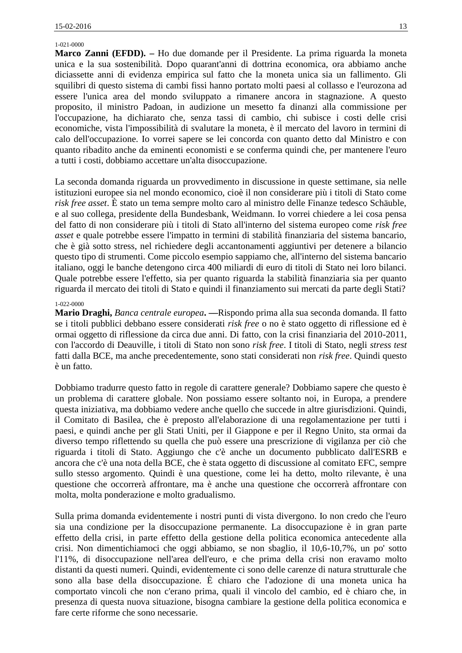#### 1-021-0000

**Marco Zanni (EFDD). –** Ho due domande per il Presidente. La prima riguarda la moneta unica e la sua sostenibilità. Dopo quarant'anni di dottrina economica, ora abbiamo anche diciassette anni di evidenza empirica sul fatto che la moneta unica sia un fallimento. Gli squilibri di questo sistema di cambi fissi hanno portato molti paesi al collasso e l'eurozona ad essere l'unica area del mondo sviluppato a rimanere ancora in stagnazione. A questo proposito, il ministro Padoan, in audizione un mesetto fa dinanzi alla commissione per l'occupazione, ha dichiarato che, senza tassi di cambio, chi subisce i costi delle crisi economiche, vista l'impossibilità di svalutare la moneta, è il mercato del lavoro in termini di calo dell'occupazione. Io vorrei sapere se lei concorda con quanto detto dal Ministro e con quanto ribadito anche da eminenti economisti e se conferma quindi che, per mantenere l'euro a tutti i costi, dobbiamo accettare un'alta disoccupazione.

La seconda domanda riguarda un provvedimento in discussione in queste settimane, sia nelle istituzioni europee sia nel mondo economico, cioè il non considerare più i titoli di Stato come *risk free asset*. È stato un tema sempre molto caro al ministro delle Finanze tedesco Schäuble, e al suo collega, presidente della Bundesbank, Weidmann. Io vorrei chiedere a lei cosa pensa del fatto di non considerare più i titoli di Stato all'interno del sistema europeo come *risk free asset* e quale potrebbe essere l'impatto in termini di stabilità finanziaria del sistema bancario, che è già sotto stress, nel richiedere degli accantonamenti aggiuntivi per detenere a bilancio questo tipo di strumenti. Come piccolo esempio sappiamo che, all'interno del sistema bancario italiano, oggi le banche detengono circa 400 miliardi di euro di titoli di Stato nei loro bilanci. Quale potrebbe essere l'effetto, sia per quanto riguarda la stabilità finanziaria sia per quanto riguarda il mercato dei titoli di Stato e quindi il finanziamento sui mercati da parte degli Stati?

### 1-022-0000

**Mario Draghi,** *Banca centrale europea***. ––**Rispondo prima alla sua seconda domanda. Il fatto se i titoli pubblici debbano essere considerati *risk free* o no è stato oggetto di riflessione ed è ormai oggetto di riflessione da circa due anni. Di fatto, con la crisi finanziaria del 2010-2011, con l'accordo di Deauville, i titoli di Stato non sono *risk free*. I titoli di Stato, negli *stress test* fatti dalla BCE, ma anche precedentemente, sono stati considerati non *risk free*. Quindi questo è un fatto.

Dobbiamo tradurre questo fatto in regole di carattere generale? Dobbiamo sapere che questo è un problema di carattere globale. Non possiamo essere soltanto noi, in Europa, a prendere questa iniziativa, ma dobbiamo vedere anche quello che succede in altre giurisdizioni. Quindi, il Comitato di Basilea, che è preposto all'elaborazione di una regolamentazione per tutti i paesi, e quindi anche per gli Stati Uniti, per il Giappone e per il Regno Unito, sta ormai da diverso tempo riflettendo su quella che può essere una prescrizione di vigilanza per ciò che riguarda i titoli di Stato. Aggiungo che c'è anche un documento pubblicato dall'ESRB e ancora che c'è una nota della BCE, che è stata oggetto di discussione al comitato EFC, sempre sullo stesso argomento. Quindi è una questione, come lei ha detto, molto rilevante, è una questione che occorrerà affrontare, ma è anche una questione che occorrerà affrontare con molta, molta ponderazione e molto gradualismo.

Sulla prima domanda evidentemente i nostri punti di vista divergono. Io non credo che l'euro sia una condizione per la disoccupazione permanente. La disoccupazione è in gran parte effetto della crisi, in parte effetto della gestione della politica economica antecedente alla crisi. Non dimentichiamoci che oggi abbiamo, se non sbaglio, il 10,6-10,7%, un po' sotto l'11%, di disoccupazione nell'area dell'euro, e che prima della crisi non eravamo molto distanti da questi numeri. Quindi, evidentemente ci sono delle carenze di natura strutturale che sono alla base della disoccupazione. È chiaro che l'adozione di una moneta unica ha comportato vincoli che non c'erano prima, quali il vincolo del cambio, ed è chiaro che, in presenza di questa nuova situazione, bisogna cambiare la gestione della politica economica e fare certe riforme che sono necessarie.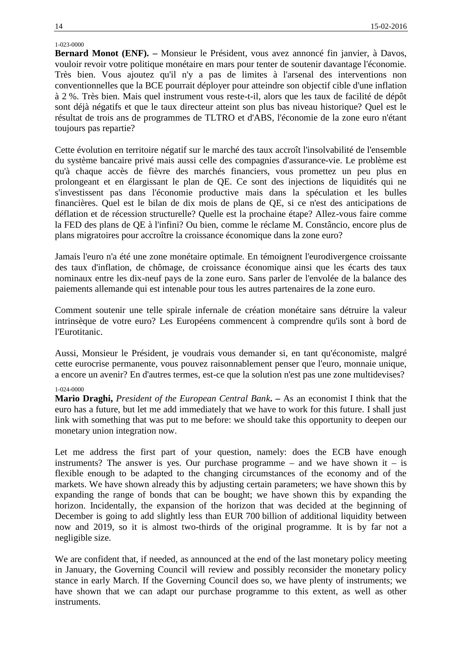# 1-023-0000

**Bernard Monot (ENF). –** Monsieur le Président, vous avez annoncé fin janvier, à Davos, vouloir revoir votre politique monétaire en mars pour tenter de soutenir davantage l'économie. Très bien. Vous ajoutez qu'il n'y a pas de limites à l'arsenal des interventions non conventionnelles que la BCE pourrait déployer pour atteindre son objectif cible d'une inflation à 2 %. Très bien. Mais quel instrument vous reste-t-il, alors que les taux de facilité de dépôt sont déjà négatifs et que le taux directeur atteint son plus bas niveau historique? Quel est le résultat de trois ans de programmes de TLTRO et d'ABS, l'économie de la zone euro n'étant toujours pas repartie?

Cette évolution en territoire négatif sur le marché des taux accroît l'insolvabilité de l'ensemble du système bancaire privé mais aussi celle des compagnies d'assurance-vie. Le problème est qu'à chaque accès de fièvre des marchés financiers, vous promettez un peu plus en prolongeant et en élargissant le plan de QE. Ce sont des injections de liquidités qui ne s'investissent pas dans l'économie productive mais dans la spéculation et les bulles financières. Quel est le bilan de dix mois de plans de QE, si ce n'est des anticipations de déflation et de récession structurelle? Quelle est la prochaine étape? Allez-vous faire comme la FED des plans de QE à l'infini? Ou bien, comme le réclame M. Constâncio, encore plus de plans migratoires pour accroître la croissance économique dans la zone euro?

Jamais l'euro n'a été une zone monétaire optimale. En témoignent l'eurodivergence croissante des taux d'inflation, de chômage, de croissance économique ainsi que les écarts des taux nominaux entre les dix-neuf pays de la zone euro. Sans parler de l'envolée de la balance des paiements allemande qui est intenable pour tous les autres partenaires de la zone euro.

Comment soutenir une telle spirale infernale de création monétaire sans détruire la valeur intrinsèque de votre euro? Les Européens commencent à comprendre qu'ils sont à bord de l'Eurotitanic.

Aussi, Monsieur le Président, je voudrais vous demander si, en tant qu'économiste, malgré cette eurocrise permanente, vous pouvez raisonnablement penser que l'euro, monnaie unique, a encore un avenir? En d'autres termes, est-ce que la solution n'est pas une zone multidevises?

### 1-024-0000

**Mario Draghi,** *President of the European Central Bank***. –** As an economist I think that the euro has a future, but let me add immediately that we have to work for this future. I shall just link with something that was put to me before: we should take this opportunity to deepen our monetary union integration now.

Let me address the first part of your question, namely: does the ECB have enough instruments? The answer is yes. Our purchase programme – and we have shown it – is flexible enough to be adapted to the changing circumstances of the economy and of the markets. We have shown already this by adjusting certain parameters; we have shown this by expanding the range of bonds that can be bought; we have shown this by expanding the horizon. Incidentally, the expansion of the horizon that was decided at the beginning of December is going to add slightly less than EUR 700 billion of additional liquidity between now and 2019, so it is almost two-thirds of the original programme. It is by far not a negligible size.

We are confident that, if needed, as announced at the end of the last monetary policy meeting in January, the Governing Council will review and possibly reconsider the monetary policy stance in early March. If the Governing Council does so, we have plenty of instruments; we have shown that we can adapt our purchase programme to this extent, as well as other instruments.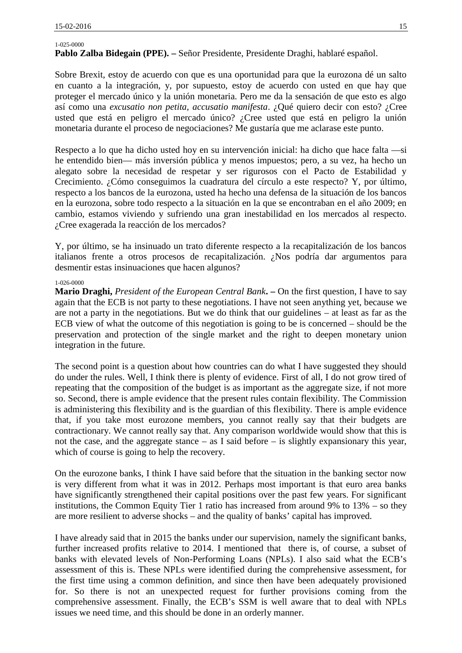### 1-025-0000

**Pablo Zalba Bidegain (PPE). –** Señor Presidente, Presidente Draghi, hablaré español.

Sobre Brexit, estoy de acuerdo con que es una oportunidad para que la eurozona dé un salto en cuanto a la integración, y, por supuesto, estoy de acuerdo con usted en que hay que proteger el mercado único y la unión monetaria. Pero me da la sensación de que esto es algo así como una *excusatio non petita, accusatio manifesta*. ¿Qué quiero decir con esto? ¿Cree usted que está en peligro el mercado único? ¿Cree usted que está en peligro la unión monetaria durante el proceso de negociaciones? Me gustaría que me aclarase este punto.

Respecto a lo que ha dicho usted hoy en su intervención inicial: ha dicho que hace falta —si he entendido bien— más inversión pública y menos impuestos; pero, a su vez, ha hecho un alegato sobre la necesidad de respetar y ser rigurosos con el Pacto de Estabilidad y Crecimiento. ¿Cómo conseguimos la cuadratura del círculo a este respecto? Y, por último, respecto a los bancos de la eurozona, usted ha hecho una defensa de la situación de los bancos en la eurozona, sobre todo respecto a la situación en la que se encontraban en el año 2009; en cambio, estamos viviendo y sufriendo una gran inestabilidad en los mercados al respecto. ¿Cree exagerada la reacción de los mercados?

Y, por último, se ha insinuado un trato diferente respecto a la recapitalización de los bancos italianos frente a otros procesos de recapitalización. ¿Nos podría dar argumentos para desmentir estas insinuaciones que hacen algunos?

### 1-026-0000

**Mario Draghi,** *President of the European Central Bank***. –** On the first question, I have to say again that the ECB is not party to these negotiations. I have not seen anything yet, because we are not a party in the negotiations. But we do think that our guidelines – at least as far as the ECB view of what the outcome of this negotiation is going to be is concerned – should be the preservation and protection of the single market and the right to deepen monetary union integration in the future.

The second point is a question about how countries can do what I have suggested they should do under the rules. Well, I think there is plenty of evidence. First of all, I do not grow tired of repeating that the composition of the budget is as important as the aggregate size, if not more so. Second, there is ample evidence that the present rules contain flexibility. The Commission is administering this flexibility and is the guardian of this flexibility. There is ample evidence that, if you take most eurozone members, you cannot really say that their budgets are contractionary. We cannot really say that. Any comparison worldwide would show that this is not the case, and the aggregate stance – as I said before – is slightly expansionary this year, which of course is going to help the recovery.

On the eurozone banks, I think I have said before that the situation in the banking sector now is very different from what it was in 2012. Perhaps most important is that euro area banks have significantly strengthened their capital positions over the past few years. For significant institutions, the Common Equity Tier 1 ratio has increased from around 9% to 13% – so they are more resilient to adverse shocks – and the quality of banks' capital has improved.

I have already said that in 2015 the banks under our supervision, namely the significant banks, further increased profits relative to 2014. I mentioned that there is, of course, a subset of banks with elevated levels of Non-Performing Loans (NPLs). I also said what the ECB's assessment of this is. These NPLs were identified during the comprehensive assessment, for the first time using a common definition, and since then have been adequately provisioned for. So there is not an unexpected request for further provisions coming from the comprehensive assessment. Finally, the ECB's SSM is well aware that to deal with NPLs issues we need time, and this should be done in an orderly manner.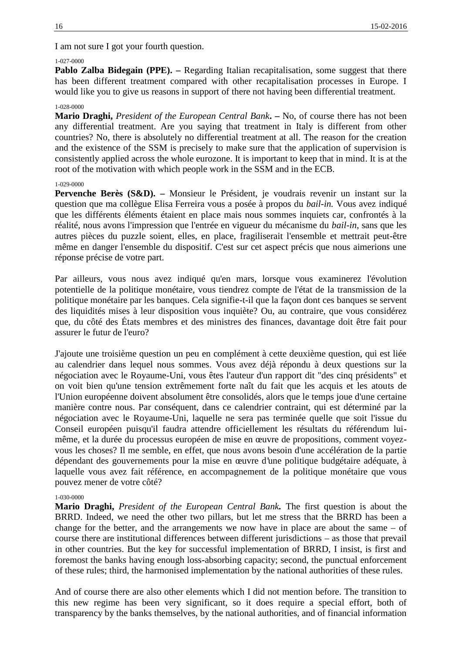I am not sure I got your fourth question.

# 1-027-0000

**Pablo Zalba Bidegain (PPE). –** Regarding Italian recapitalisation, some suggest that there has been different treatment compared with other recapitalisation processes in Europe. I would like you to give us reasons in support of there not having been differential treatment.

# 1-028-0000

**Mario Draghi,** *President of the European Central Bank***. –** No, of course there has not been any differential treatment. Are you saying that treatment in Italy is different from other countries? No, there is absolutely no differential treatment at all. The reason for the creation and the existence of the SSM is precisely to make sure that the application of supervision is consistently applied across the whole eurozone. It is important to keep that in mind. It is at the root of the motivation with which people work in the SSM and in the ECB.

### 1-029-0000

**Pervenche Berès (S&D). –** Monsieur le Président, je voudrais revenir un instant sur la question que ma collègue Elisa Ferreira vous a posée à propos du *bail-in.* Vous avez indiqué que les différents éléments étaient en place mais nous sommes inquiets car, confrontés à la réalité, nous avons l'impression que l'entrée en vigueur du mécanisme du *bail-in*, sans que les autres pièces du puzzle soient, elles, en place, fragiliserait l'ensemble et mettrait peut-être même en danger l'ensemble du dispositif. C'est sur cet aspect précis que nous aimerions une réponse précise de votre part.

Par ailleurs, vous nous avez indiqué qu'en mars, lorsque vous examinerez l'évolution potentielle de la politique monétaire, vous tiendrez compte de l'état de la transmission de la politique monétaire par les banques. Cela signifie-t-il que la façon dont ces banques se servent des liquidités mises à leur disposition vous inquiète? Ou, au contraire, que vous considérez que, du côté des États membres et des ministres des finances, davantage doit être fait pour assurer le futur de l'euro?

J'ajoute une troisième question un peu en complément à cette deuxième question, qui est liée au calendrier dans lequel nous sommes. Vous avez déjà répondu à deux questions sur la négociation avec le Royaume-Uni, vous êtes l'auteur d'un rapport dit "des cinq présidents" et on voit bien qu'une tension extrêmement forte naît du fait que les acquis et les atouts de l'Union européenne doivent absolument être consolidés, alors que le temps joue d'une certaine manière contre nous. Par conséquent, dans ce calendrier contraint, qui est déterminé par la négociation avec le Royaume-Uni, laquelle ne sera pas terminée quelle que soit l'issue du Conseil européen puisqu'il faudra attendre officiellement les résultats du référendum lui même, et la durée du processus européen de mise en œuvre de propositions, comment voyez vous les choses? Il me semble, en effet, que nous avons besoin d'une accélération de la partie dépendant des gouvernements pour la mise en œuvre d'une politique budgétaire adéquate, à laquelle vous avez fait référence, en accompagnement de la politique monétaire que vous pouvez mener de votre côté?

### 1-030-0000

**Mario Draghi,** *President of the European Central Bank.* The first question is about the BRRD. Indeed, we need the other two pillars, but let me stress that the BRRD has been a change for the better, and the arrangements we now have in place are about the same – of course there are institutional differences between different jurisdictions – as those that prevail in other countries. But the key for successful implementation of BRRD, I insist, is first and foremost the banks having enough loss-absorbing capacity; second, the punctual enforcement of these rules; third, the harmonised implementation by the national authorities of these rules.

And of course there are also other elements which I did not mention before. The transition to this new regime has been very significant, so it does require a special effort, both of transparency by the banks themselves, by the national authorities, and of financial information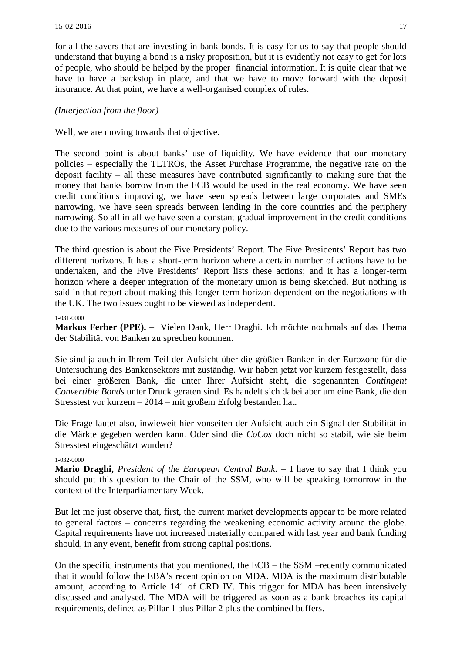for all the savers that are investing in bank bonds. It is easy for us to say that people should understand that buying a bond is a risky proposition, but it is evidently not easy to get for lots of people, who should be helped by the proper financial information. It is quite clear that we have to have a backstop in place, and that we have to move forward with the deposit insurance. At that point, we have a well-organised complex of rules.

# *(Interjection from the floor)*

Well, we are moving towards that objective.

The second point is about banks' use of liquidity. We have evidence that our monetary policies – especially the TLTROs, the Asset Purchase Programme, the negative rate on the deposit facility – all these measures have contributed significantly to making sure that the money that banks borrow from the ECB would be used in the real economy. We have seen credit conditions improving, we have seen spreads between large corporates and SMEs narrowing, we have seen spreads between lending in the core countries and the periphery narrowing. So all in all we have seen a constant gradual improvement in the credit conditions due to the various measures of our monetary policy.

The third question is about the Five Presidents' Report. The Five Presidents' Report has two different horizons. It has a short-term horizon where a certain number of actions have to be undertaken, and the Five Presidents' Report lists these actions; and it has a longer-term horizon where a deeper integration of the monetary union is being sketched. But nothing is said in that report about making this longer-term horizon dependent on the negotiations with the UK. The two issues ought to be viewed as independent.

# 1-031-0000

**Markus Ferber (PPE). –** Vielen Dank, Herr Draghi. Ich möchte nochmals auf das Thema der Stabilität von Banken zu sprechen kommen.

Sie sind ja auch in Ihrem Teil der Aufsicht über die größten Banken in der Eurozone für die Untersuchung des Bankensektors mit zuständig. Wir haben jetzt vor kurzem festgestellt, dass bei einer größeren Bank, die unter Ihrer Aufsicht steht, die sogenannten *Contingent Convertible Bonds* unter Druck geraten sind. Es handelt sich dabei aber um eine Bank, die den Stresstest vor kurzem – 2014 – mit großem Erfolg bestanden hat.

Die Frage lautet also, inwieweit hier vonseiten der Aufsicht auch ein Signal der Stabilität in die Märkte gegeben werden kann. Oder sind die *CoCos* doch nicht so stabil, wie sie beim Stresstest eingeschätzt wurden?

# 1-032-0000

**Mario Draghi,** *President of the European Central Bank***. –** I have to say that I think you should put this question to the Chair of the SSM, who will be speaking tomorrow in the context of the Interparliamentary Week.

But let me just observe that, first, the current market developments appear to be more related to general factors – concerns regarding the weakening economic activity around the globe. Capital requirements have not increased materially compared with last year and bank funding should, in any event, benefit from strong capital positions.

On the specific instruments that you mentioned, the ECB – the SSM –recently communicated that it would follow the EBA's recent opinion on MDA. MDA is the maximum distributable amount, according to Article 141 of CRD IV. This trigger for MDA has been intensively discussed and analysed. The MDA will be triggered as soon as a bank breaches its capital requirements, defined as Pillar 1 plus Pillar 2 plus the combined buffers.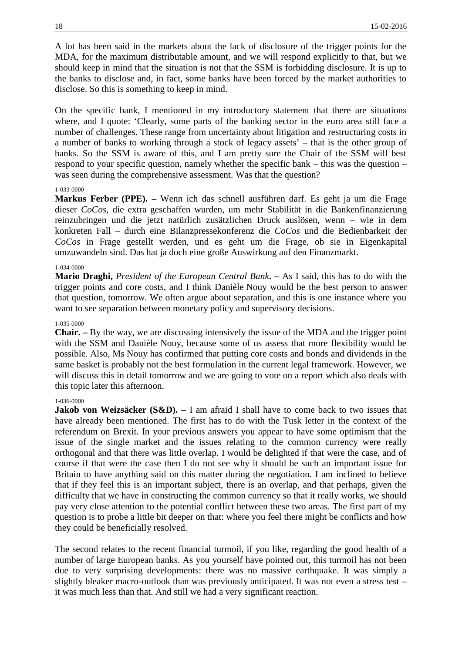A lot has been said in the markets about the lack of disclosure of the trigger points for the MDA, for the maximum distributable amount, and we will respond explicitly to that, but we should keep in mind that the situation is not that the SSM is forbidding disclosure. It is up to the banks to disclose and, in fact, some banks have been forced by the market authorities to disclose. So this is something to keep in mind.

On the specific bank, I mentioned in my introductory statement that there are situations where, and I quote: 'Clearly, some parts of the banking sector in the euro area still face a number of challenges. These range from uncertainty about litigation and restructuring costs in a number of banks to working through a stock of legacy assets' – that is the other group of banks. So the SSM is aware of this, and I am pretty sure the Chair of the SSM will best respond to your specific question, namely whether the specific bank – this was the question – was seen during the comprehensive assessment. Was that the question?

### 1-033-0000

**Markus Ferber (PPE). –** Wenn ich das schnell ausführen darf. Es geht ja um die Frage dieser *CoCos*, die extra geschaffen wurden, um mehr Stabilität in die Bankenfinanzierung reinzubringen und die jetzt natürlich zusätzlichen Druck auslösen, wenn – wie in dem konkreten Fall – durch eine Bilanzpressekonferenz die *CoCos* und die Bedienbarkeit der *CoCos* in Frage gestellt werden, und es geht um die Frage, ob sie in Eigenkapital umzuwandeln sind. Das hat ja doch eine große Auswirkung auf den Finanzmarkt.

#### 1-034-0000

**Mario Draghi,** *President of the European Central Bank***. –** As I said, this has to do with the trigger points and core costs, and I think Danièle Nouy would be the best person to answer that question, tomorrow. We often argue about separation, and this is one instance where you want to see separation between monetary policy and supervisory decisions.

# 1-035-0000

**Chair. –** By the way, we are discussing intensively the issue of the MDA and the trigger point with the SSM and Danièle Nouy, because some of us assess that more flexibility would be possible. Also, Ms Nouy has confirmed that putting core costs and bonds and dividends in the same basket is probably not the best formulation in the current legal framework. However, we will discuss this in detail tomorrow and we are going to vote on a report which also deals with this topic later this afternoon.

### 1-036-0000

**Jakob von Weizsäcker (S&D).** – I am afraid I shall have to come back to two issues that have already been mentioned. The first has to do with the Tusk letter in the context of the referendum on Brexit. In your previous answers you appear to have some optimism that the issue of the single market and the issues relating to the common currency were really orthogonal and that there was little overlap. I would be delighted if that were the case, and of course if that were the case then I do not see why it should be such an important issue for Britain to have anything said on this matter during the negotiation. I am inclined to believe that if they feel this is an important subject, there is an overlap, and that perhaps, given the difficulty that we have in constructing the common currency so that it really works, we should pay very close attention to the potential conflict between these two areas. The first part of my question is to probe a little bit deeper on that: where you feel there might be conflicts and how they could be beneficially resolved.

The second relates to the recent financial turmoil, if you like, regarding the good health of a number of large European banks. As you yourself have pointed out, this turmoil has not been due to very surprising developments: there was no massive earthquake. It was simply a slightly bleaker macro-outlook than was previously anticipated. It was not even a stress test – it was much less than that. And still we had a very significant reaction.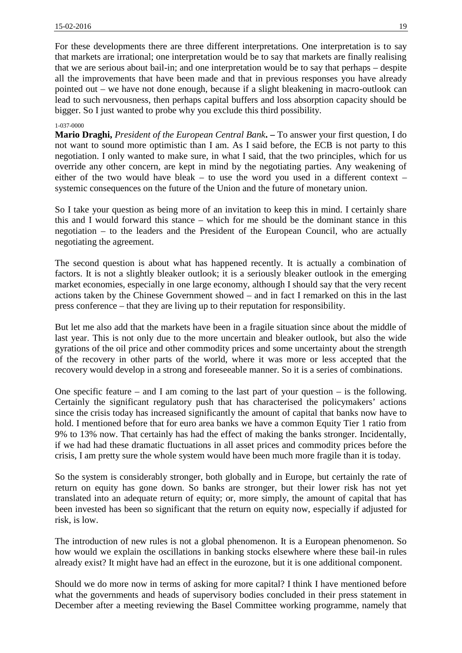For these developments there are three different interpretations. One interpretation is to say that markets are irrational; one interpretation would be to say that markets are finally realising that we are serious about bail-in; and one interpretation would be to say that perhaps – despite all the improvements that have been made and that in previous responses you have already pointed out – we have not done enough, because if a slight bleakening in macro-outlook can lead to such nervousness, then perhaps capital buffers and loss absorption capacity should be bigger. So I just wanted to probe why you exclude this third possibility.

#### 1-037-0000

**Mario Draghi,** *President of the European Central Bank***. –** To answer your first question, I do not want to sound more optimistic than I am. As I said before, the ECB is not party to this negotiation. I only wanted to make sure, in what I said, that the two principles, which for us override any other concern, are kept in mind by the negotiating parties. Any weakening of either of the two would have bleak – to use the word you used in a different context – systemic consequences on the future of the Union and the future of monetary union.

So I take your question as being more of an invitation to keep this in mind. I certainly share this and I would forward this stance – which for me should be the dominant stance in this negotiation – to the leaders and the President of the European Council, who are actually negotiating the agreement.

The second question is about what has happened recently. It is actually a combination of factors. It is not a slightly bleaker outlook; it is a seriously bleaker outlook in the emerging market economies, especially in one large economy, although I should say that the very recent actions taken by the Chinese Government showed – and in fact I remarked on this in the last press conference – that they are living up to their reputation for responsibility.

But let me also add that the markets have been in a fragile situation since about the middle of last year. This is not only due to the more uncertain and bleaker outlook, but also the wide gyrations of the oil price and other commodity prices and some uncertainty about the strength of the recovery in other parts of the world, where it was more or less accepted that the recovery would develop in a strong and foreseeable manner. So it is a series of combinations.

One specific feature – and I am coming to the last part of your question – is the following. Certainly the significant regulatory push that has characterised the policymakers' actions since the crisis today has increased significantly the amount of capital that banks now have to hold. I mentioned before that for euro area banks we have a common Equity Tier 1 ratio from 9% to 13% now. That certainly has had the effect of making the banks stronger. Incidentally, if we had had these dramatic fluctuations in all asset prices and commodity prices before the crisis, I am pretty sure the whole system would have been much more fragile than it is today.

So the system is considerably stronger, both globally and in Europe, but certainly the rate of return on equity has gone down. So banks are stronger, but their lower risk has not yet translated into an adequate return of equity; or, more simply, the amount of capital that has been invested has been so significant that the return on equity now, especially if adjusted for risk, is low.

The introduction of new rules is not a global phenomenon. It is a European phenomenon. So how would we explain the oscillations in banking stocks elsewhere where these bail-in rules already exist? It might have had an effect in the eurozone, but it is one additional component.

Should we do more now in terms of asking for more capital? I think I have mentioned before what the governments and heads of supervisory bodies concluded in their press statement in December after a meeting reviewing the Basel Committee working programme, namely that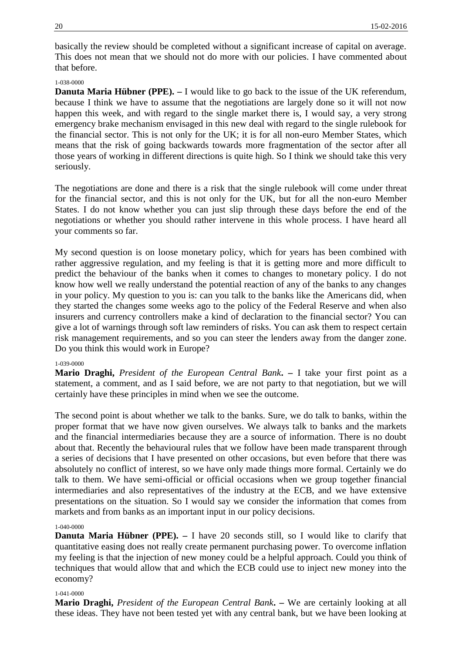basically the review should be completed without a significant increase of capital on average. This does not mean that we should not do more with our policies. I have commented about that before.

# 1-038-0000

**Danuta Maria Hübner (PPE).**  $-$  **I would like to go back to the issue of the UK referendum,** because I think we have to assume that the negotiations are largely done so it will not now happen this week, and with regard to the single market there is, I would say, a very strong emergency brake mechanism envisaged in this new deal with regard to the single rulebook for the financial sector. This is not only for the UK; it is for all non-euro Member States, which means that the risk of going backwards towards more fragmentation of the sector after all those years of working in different directions is quite high. So I think we should take this very seriously.

The negotiations are done and there is a risk that the single rulebook will come under threat for the financial sector, and this is not only for the UK, but for all the non-euro Member States. I do not know whether you can just slip through these days before the end of the negotiations or whether you should rather intervene in this whole process. I have heard all your comments so far.

My second question is on loose monetary policy, which for years has been combined with rather aggressive regulation, and my feeling is that it is getting more and more difficult to predict the behaviour of the banks when it comes to changes to monetary policy. I do not know how well we really understand the potential reaction of any of the banks to any changes in your policy. My question to you is: can you talk to the banks like the Americans did, when they started the changes some weeks ago to the policy of the Federal Reserve and when also insurers and currency controllers make a kind of declaration to the financial sector? You can give a lot of warnings through soft law reminders of risks. You can ask them to respect certain risk management requirements, and so you can steer the lenders away from the danger zone. Do you think this would work in Europe?

# 1-039-0000

**Mario Draghi,** *President of the European Central Bank***. –** I take your first point as a statement, a comment, and as I said before, we are not party to that negotiation, but we will certainly have these principles in mind when we see the outcome.

The second point is about whether we talk to the banks. Sure, we do talk to banks, within the proper format that we have now given ourselves. We always talk to banks and the markets and the financial intermediaries because they are a source of information. There is no doubt about that. Recently the behavioural rules that we follow have been made transparent through a series of decisions that I have presented on other occasions, but even before that there was absolutely no conflict of interest, so we have only made things more formal. Certainly we do talk to them. We have semi-official or official occasions when we group together financial intermediaries and also representatives of the industry at the ECB, and we have extensive presentations on the situation. So I would say we consider the information that comes from markets and from banks as an important input in our policy decisions.

### 1-040-0000

**Danuta Maria Hübner (PPE).** – I have 20 seconds still, so I would like to clarify that quantitative easing does not really create permanent purchasing power. To overcome inflation my feeling is that the injection of new money could be a helpful approach. Could you think of techniques that would allow that and which the ECB could use to inject new money into the economy?

### 1-041-0000

**Mario Draghi,** *President of the European Central Bank***. –** We are certainly looking at all these ideas. They have not been tested yet with any central bank, but we have been looking at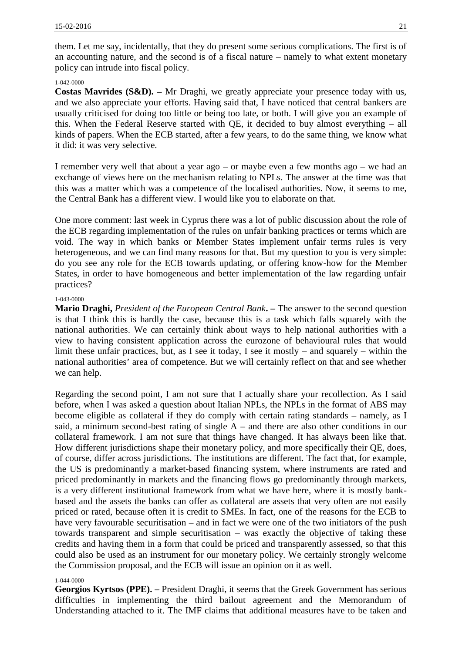them. Let me say, incidentally, that they do present some serious complications. The first is of an accounting nature, and the second is of a fiscal nature – namely to what extent monetary policy can intrude into fiscal policy.

# 1-042-0000

**Costas Mavrides (S&D). –** Mr Draghi, we greatly appreciate your presence today with us, and we also appreciate your efforts. Having said that, I have noticed that central bankers are usually criticised for doing too little or being too late, or both. I will give you an example of this. When the Federal Reserve started with QE, it decided to buy almost everything – all kinds of papers. When the ECB started, after a few years, to do the same thing, we know what it did: it was very selective.

I remember very well that about a year ago – or maybe even a few months ago – we had an exchange of views here on the mechanism relating to NPLs. The answer at the time was that this was a matter which was a competence of the localised authorities. Now, it seems to me, the Central Bank has a different view. I would like you to elaborate on that.

One more comment: last week in Cyprus there was a lot of public discussion about the role of the ECB regarding implementation of the rules on unfair banking practices or terms which are void. The way in which banks or Member States implement unfair terms rules is very heterogeneous, and we can find many reasons for that. But my question to you is very simple: do you see any role for the ECB towards updating, or offering know-how for the Member States, in order to have homogeneous and better implementation of the law regarding unfair practices?

# 1-043-0000

**Mario Draghi,** *President of the European Central Bank***. –** The answer to the second question is that I think this is hardly the case, because this is a task which falls squarely with the national authorities. We can certainly think about ways to help national authorities with a view to having consistent application across the eurozone of behavioural rules that would limit these unfair practices, but, as I see it today, I see it mostly – and squarely – within the national authorities' area of competence. But we will certainly reflect on that and see whether we can help.

Regarding the second point, I am not sure that I actually share your recollection. As I said before, when I was asked a question about Italian NPLs, the NPLs in the format of ABS may become eligible as collateral if they do comply with certain rating standards – namely, as I said, a minimum second-best rating of single A – and there are also other conditions in our collateral framework. I am not sure that things have changed. It has always been like that. How different jurisdictions shape their monetary policy, and more specifically their QE, does, of course, differ across jurisdictions. The institutions are different. The fact that, for example, the US is predominantly a market-based financing system, where instruments are rated and priced predominantly in markets and the financing flows go predominantly through markets, is a very different institutional framework from what we have here, where it is mostly bank based and the assets the banks can offer as collateral are assets that very often are not easily priced or rated, because often it is credit to SMEs. In fact, one of the reasons for the ECB to have very favourable securitisation – and in fact we were one of the two initiators of the push towards transparent and simple securitisation – was exactly the objective of taking these credits and having them in a form that could be priced and transparently assessed, so that this could also be used as an instrument for our monetary policy. We certainly strongly welcome the Commission proposal, and the ECB will issue an opinion on it as well.

# 1-044-0000

**Georgios Kyrtsos (PPE). –** President Draghi, it seems that the Greek Government has serious difficulties in implementing the third bailout agreement and the Memorandum of Understanding attached to it. The IMF claims that additional measures have to be taken and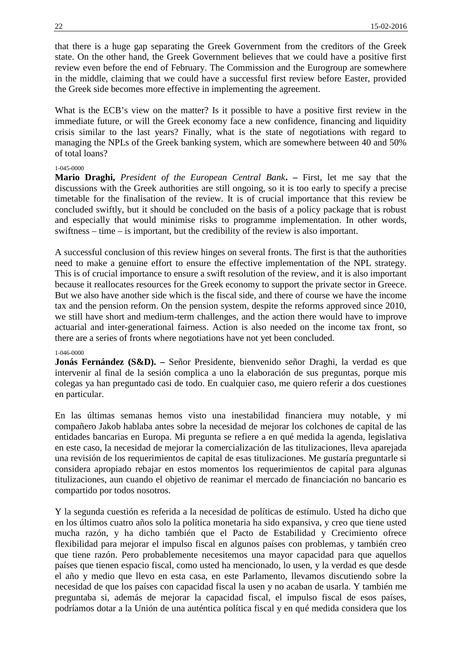that there is a huge gap separating the Greek Government from the creditors of the Greek state. On the other hand, the Greek Government believes that we could have a positive first review even before the end of February. The Commission and the Eurogroup are somewhere in the middle, claiming that we could have a successful first review before Easter, provided the Greek side becomes more effective in implementing the agreement.

What is the ECB's view on the matter? Is it possible to have a positive first review in the immediate future, or will the Greek economy face a new confidence, financing and liquidity crisis similar to the last years? Finally, what is the state of negotiations with regard to managing the NPLs of the Greek banking system, which are somewhere between 40 and 50% of total loans?

### 1-045-0000

**Mario Draghi,** *President of the European Central Bank***. –** First, let me say that the discussions with the Greek authorities are still ongoing, so it is too early to specify a precise timetable for the finalisation of the review. It is of crucial importance that this review be concluded swiftly, but it should be concluded on the basis of a policy package that is robust and especially that would minimise risks to programme implementation. In other words, swiftness – time – is important, but the credibility of the review is also important.

A successful conclusion of this review hinges on several fronts. The first is that the authorities need to make a genuine effort to ensure the effective implementation of the NPL strategy. This is of crucial importance to ensure a swift resolution of the review, and it is also important because it reallocates resources for the Greek economy to support the private sector in Greece. But we also have another side which is the fiscal side, and there of course we have the income tax and the pension reform. On the pension system, despite the reforms approved since 2010, we still have short and medium-term challenges, and the action there would have to improve actuarial and inter-generational fairness. Action is also needed on the income tax front, so there are a series of fronts where negotiations have not yet been concluded.

### 1-046-0000

**Jonás Fernández (S&D). –** Señor Presidente, bienvenido señor Draghi, la verdad es que intervenir al final de la sesión complica a uno la elaboración de sus preguntas, porque mis colegas ya han preguntado casi de todo. En cualquier caso, me quiero referir a dos cuestiones en particular.

En las últimas semanas hemos visto una inestabilidad financiera muy notable, y mi compañero Jakob hablaba antes sobre la necesidad de mejorar los colchones de capital de las entidades bancarias en Europa. Mi pregunta se refiere a en qué medida la agenda, legislativa en este caso, la necesidad de mejorar la comercialización de las titulizaciones, lleva aparejada una revisión de los requerimientos de capital de esas titulizaciones. Me gustaría preguntarle si considera apropiado rebajar en estos momentos los requerimientos de capital para algunas titulizaciones, aun cuando el objetivo de reanimar el mercado de financiación no bancario es compartido por todos nosotros.

Y la segunda cuestión es referida a la necesidad de políticas de estímulo. Usted ha dicho que en los últimos cuatro años solo la política monetaria ha sido expansiva, y creo que tiene usted mucha razón, y ha dicho también que el Pacto de Estabilidad y Crecimiento ofrece flexibilidad para mejorar el impulso fiscal en algunos países con problemas, y también creo que tiene razón. Pero probablemente necesitemos una mayor capacidad para que aquellos países que tienen espacio fiscal, como usted ha mencionado, lo usen, y la verdad es que desde el año y medio que llevo en esta casa, en este Parlamento, llevamos discutiendo sobre la necesidad de que los países con capacidad fiscal la usen y no acaban de usarla. Y también me preguntaba si, además de mejorar la capacidad fiscal, el impulso fiscal de esos países, podríamos dotar a la Unión de una auténtica política fiscal y en qué medida considera que los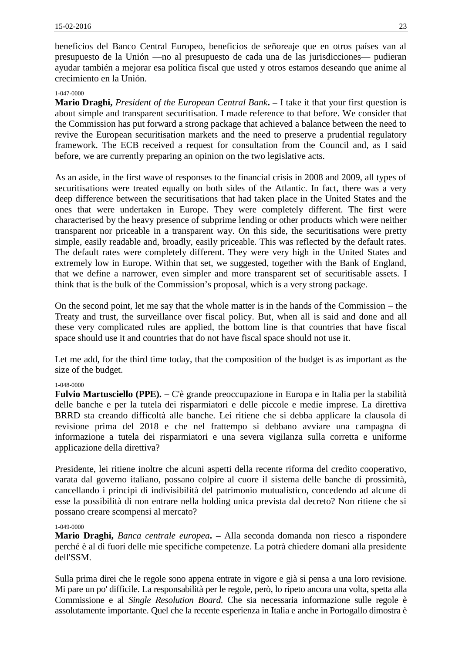beneficios del Banco Central Europeo, beneficios de señoreaje que en otros países van al presupuesto de la Unión ―no al presupuesto de cada una de las jurisdicciones― pudieran ayudar también a mejorar esa política fiscal que usted y otros estamos deseando que anime al crecimiento en la Unión.

### 1-047-0000

**Mario Draghi,** *President of the European Central Bank***. –** I take it that your first question is about simple and transparent securitisation. I made reference to that before. We consider that the Commission has put forward a strong package that achieved a balance between the need to revive the European securitisation markets and the need to preserve a prudential regulatory framework. The ECB received a request for consultation from the Council and, as I said before, we are currently preparing an opinion on the two legislative acts.

As an aside, in the first wave of responses to the financial crisis in 2008 and 2009, all types of securitisations were treated equally on both sides of the Atlantic. In fact, there was a very deep difference between the securitisations that had taken place in the United States and the ones that were undertaken in Europe. They were completely different. The first were characterised by the heavy presence of subprime lending or other products which were neither transparent nor priceable in a transparent way. On this side, the securitisations were pretty simple, easily readable and, broadly, easily priceable. This was reflected by the default rates. The default rates were completely different. They were very high in the United States and extremely low in Europe. Within that set, we suggested, together with the Bank of England, that we define a narrower, even simpler and more transparent set of securitisable assets. I think that is the bulk of the Commission's proposal, which is a very strong package.

On the second point, let me say that the whole matter is in the hands of the Commission – the Treaty and trust, the surveillance over fiscal policy. But, when all is said and done and all these very complicated rules are applied, the bottom line is that countries that have fiscal space should use it and countries that do not have fiscal space should not use it.

Let me add, for the third time today, that the composition of the budget is as important as the size of the budget.

# 1-048-0000

**Fulvio Martusciello (PPE). –** C'è grande preoccupazione in Europa e in Italia per la stabilità delle banche e per la tutela dei risparmiatori e delle piccole e medie imprese. La direttiva BRRD sta creando difficoltà alle banche. Lei ritiene che si debba applicare la clausola di revisione prima del 2018 e che nel frattempo si debbano avviare una campagna di informazione a tutela dei risparmiatori e una severa vigilanza sulla corretta e uniforme applicazione della direttiva?

Presidente, lei ritiene inoltre che alcuni aspetti della recente riforma del credito cooperativo, varata dal governo italiano, possano colpire al cuore il sistema delle banche di prossimità, cancellando i principi di indivisibilità del patrimonio mutualistico, concedendo ad alcune di esse la possibilità di non entrare nella holding unica prevista dal decreto? Non ritiene che si possano creare scompensi al mercato?

### 1-049-0000

**Mario Draghi,** *Banca centrale europea***. –** Alla seconda domanda non riesco a rispondere perché è al di fuori delle mie specifiche competenze. La potrà chiedere domani alla presidente dell'SSM.

Sulla prima direi che le regole sono appena entrate in vigore e già si pensa a una loro revisione. Mi pare un po' difficile. La responsabilità per le regole, però, lo ripeto ancora una volta, spetta alla Commissione e al *Single Resolution Board*. Che sia necessaria informazione sulle regole è assolutamente importante. Quel che la recente esperienza in Italia e anche in Portogallo dimostra è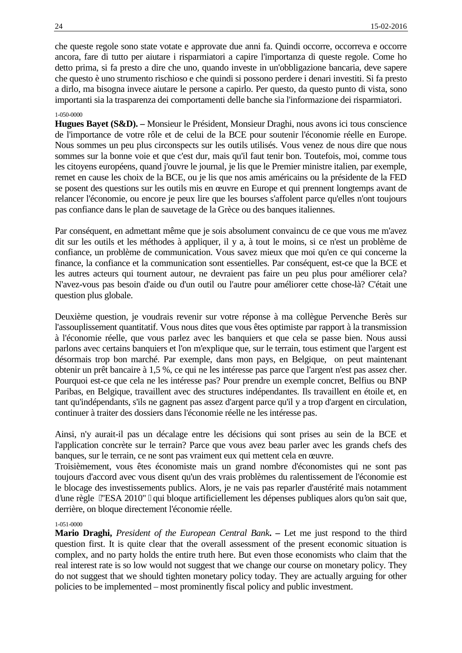che queste regole sono state votate e approvate due anni fa. Quindi occorre, occorreva e occorre ancora, fare di tutto per aiutare i risparmiatori a capire l'importanza di queste regole. Come ho detto prima, si fa presto a dire che uno, quando investe in un'obbligazione bancaria, deve sapere che questo è uno strumento rischioso e che quindi si possono perdere i denari investiti. Si fa presto a dirlo, ma bisogna invece aiutare le persone a capirlo. Per questo, da questo punto di vista, sono importanti sia la trasparenza dei comportamenti delle banche sia l'informazione dei risparmiatori.

# 1-050-0000

**Hugues Bayet (S&D). –** Monsieur le Président, Monsieur Draghi, nous avons ici tous conscience de l'importance de votre rôle et de celui de la BCE pour soutenir l'économie réelle en Europe. Nous sommes un peu plus circonspects sur les outils utilisés. Vous venez de nous dire que nous sommes sur la bonne voie et que c'est dur, mais qu'il faut tenir bon. Toutefois, moi, comme tous les citoyens européens, quand j'ouvre le journal, je lis que le Premier ministre italien, par exemple, remet en cause les choix de la BCE, ou je lis que nos amis américains ou la présidente de la FED se posent des questions sur les outils mis en œuvre en Europe et qui prennent longtemps avant de relancer l'économie, ou encore je peux lire que les bourses s'affolent parce qu'elles n'ont toujours pas confiance dans le plan de sauvetage de la Grèce ou des banques italiennes.

Par conséquent, en admettant même que je sois absolument convaincu de ce que vous me m'avez dit sur les outils et les méthodes à appliquer, il y a, à tout le moins, si ce n'est un problème de confiance, un problème de communication. Vous savez mieux que moi qu'en ce qui concerne la finance, la confiance et la communication sont essentielles. Par conséquent, est-ce que la BCE et les autres acteurs qui tournent autour, ne devraient pas faire un peu plus pour améliorer cela? N'avez-vous pas besoin d'aide ou d'un outil ou l'autre pour améliorer cette chose-là? C'était une question plus globale.

Deuxième question, je voudrais revenir sur votre réponse à ma collègue Pervenche Berès sur l'assouplissement quantitatif. Vous nous dites que vous êtes optimiste par rapport à la transmission à l'économie réelle, que vous parlez avec les banquiers et que cela se passe bien. Nous aussi parlons avec certains banquiers et l'on m'explique que, sur le terrain, tous estiment que l'argent est désormais trop bon marché. Par exemple, dans mon pays, en Belgique, on peut maintenant obtenir un prêt bancaire à 1,5 %, ce qui ne les intéresse pas parce que l'argent n'est pas assez cher. Pourquoi est-ce que cela ne les intéresse pas? Pour prendre un exemple concret, Belfius ou BNP Paribas, en Belgique, travaillent avec des structures indépendantes. Ils travaillent en étoile et, en tant qu'indépendants, s'ils ne gagnent pas assez d'argent parce qu'il y a trop d'argent en circulation, continuer à traiter des dossiers dans l'économie réelle ne les intéresse pas.

Ainsi, n'y aurait-il pas un décalage entre les décisions qui sont prises au sein de la BCE et l'application concrète sur le terrain? Parce que vous avez beau parler avec les grands chefs des banques, sur le terrain, ce ne sont pas vraiment eux qui mettent cela en œuvre.

Troisièmement, vous êtes économiste mais un grand nombre d'économistes qui ne sont pas toujours d'accord avec vous disent qu'un des vrais problèmes du ralentissement de l'économie est le blocage des investissements publics. Alors, je ne vais pas reparler d'austérité mais notamment d'une règle ̶ "ESA 2010" ̶ qui bloque artificiellement les dépenses publiques alors qu'on sait que, derrière, on bloque directement l'économie réelle.

### 1-051-0000

**Mario Draghi,** *President of the European Central Bank***. –** Let me just respond to the third question first. It is quite clear that the overall assessment of the present economic situation is complex, and no party holds the entire truth here. But even those economists who claim that the real interest rate is so low would not suggest that we change our course on monetary policy. They do not suggest that we should tighten monetary policy today. They are actually arguing for other policies to be implemented – most prominently fiscal policy and public investment.